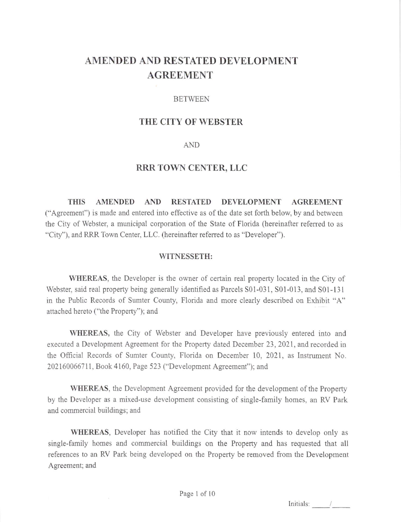# AMENDED AND RESTATED DEVELOPMENT AGREEMENT

## BETWEEN

# THE CITY OF WEBSTER

### AND

## RRR TOWN CENTER, LLC

THIS AMENDED AND RESTATED DEVELOPMENT AGREEMENT ("Agreement") is made and entered into effective as of the date set forth below, by and between the City of Webster, a municipal corporation of the State of Florida (hereinafter referred to as "City"), and RRR Town Center, LLC. (hereinafter referred to as "Developer").

#### WITNESSETH:

WHEREAS, the Developer is the owner of certain real property located in the City of Webster, said real property being generally identified as Parcels S01-031, S01-013, and S01-131 in the Public Records of Sumter County, Florida and more clearly described on Exhibit "A" attached hereto ("the Property"); and

WHEREAS, the City of Webster and Developer have previously entered into and executed a Development Agreement for the Properry dated December 23,2021, and recorded in the Official Records of Sumter County, Florida on December 10, 2021, as Instrument No. 202160066711, Book 4160, Page 523 ("Development Agreement"); and

WHEREAS, the Development Agreement provided for the development of the Property by the Developer as a mixed-use development consisting of single-family homes, an RV Park and commercial buildings; and

WHEREAS, Developer has notified the City that it now intends to develop only as single-family homes and commercial buildings on the Property and has requested that all references to an RV Park being developed on the Property be removed from the Development Agreement; and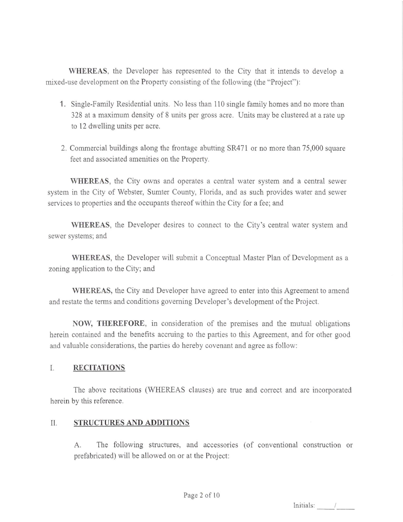WHEREAS, the Developer has represented to the City that it intends to develop <sup>a</sup> mixed-use development on the Properry consisting of the following (the "Project"):

- 1. Single-Family Residential units. No less than 110 single family homes and no more than 328 at a maximum density of 8 units per gross acre. Units may be clustered at a rate up to 12 dwelling units per acre.
- 2. Commercial buildings along the frontage abutting SR471 or no more than 75,000 square feet and associated amenities on the Property.

WHEREAS, the City owns and operates a central water system and a central sewer system in the City of Webster, Sumter County, Florida, and as such provides water and sewer services to properties and the occupants thereof within the City for a fee; and

WHEREAS, the Developer desires to connect to the City's central water system and sewer systems; and

WHEREAS, the Developer will submit a Conceptual Master Plan of Development as <sup>a</sup> zoning application to the City; and

\YIIEREAS, the City and Developer have agreed to enter into this Agreement to amend and restate the terms and conditions goveming Developer's development of the Project.

NOW, THEREFORE, in consideration of the premises and the mutual obligations herein contained and the benefits accruing to the parties to this Agreement, and for other good and valuable considerations, the parties do hereby covenant and agree as follow:

## I. RECITATIONS

The above recitations (WHEREAS clauses) are true and correct and are incorporated herein by this reference.

## II, STRUCTURESANDADDITIONS

A. The following structures, and accessories (of conventional construction or prefabricated) will be allowed on or at the Project: